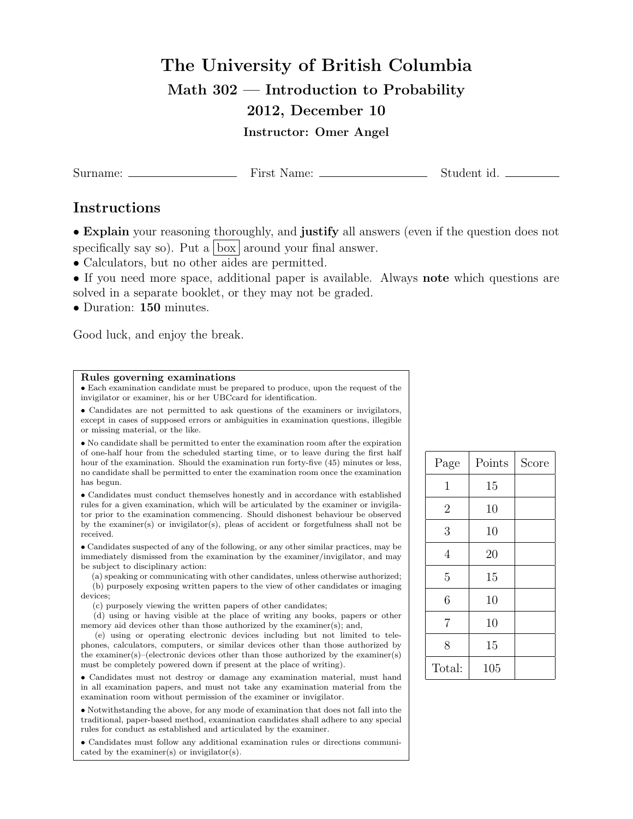## The University of British Columbia Math 302 — Introduction to Probability 2012, December 10

Instructor: Omer Angel

Surname: First Name: Student id.

## Instructions

• Explain your reasoning thoroughly, and justify all answers (even if the question does not specifically say so). Put a  $\vert$  box  $\vert$  around your final answer.

- Calculators, but no other aides are permitted.
- If you need more space, additional paper is available. Always note which questions are solved in a separate booklet, or they may not be graded.
- Duration: 150 minutes.

Good luck, and enjoy the break.

## Rules governing examinations

• Each examination candidate must be prepared to produce, upon the request of the invigilator or examiner, his or her UBCcard for identification.

• Candidates are not permitted to ask questions of the examiners or invigilators, except in cases of supposed errors or ambiguities in examination questions, illegible or missing material, or the like.

• No candidate shall be permitted to enter the examination room after the expiration of one-half hour from the scheduled starting time, or to leave during the first half hour of the examination. Should the examination run forty-five (45) minutes or less, no candidate shall be permitted to enter the examination room once the examination has begun.

• Candidates must conduct themselves honestly and in accordance with established rules for a given examination, which will be articulated by the examiner or invigilator prior to the examination commencing. Should dishonest behaviour be observed by the examiner(s) or invigilator(s), pleas of accident or forgetfulness shall not be received.

• Candidates suspected of any of the following, or any other similar practices, may be immediately dismissed from the examination by the examiner/invigilator, and may be subject to disciplinary action:

(a) speaking or communicating with other candidates, unless otherwise authorized; (b) purposely exposing written papers to the view of other candidates or imaging devices;

(c) purposely viewing the written papers of other candidates;

(d) using or having visible at the place of writing any books, papers or other memory aid devices other than those authorized by the examiner(s); and,

(e) using or operating electronic devices including but not limited to telephones, calculators, computers, or similar devices other than those authorized by the examiner(s)–(electronic devices other than those authorized by the examiner(s) must be completely powered down if present at the place of writing).

• Candidates must not destroy or damage any examination material, must hand in all examination papers, and must not take any examination material from the examination room without permission of the examiner or invigilator.

• Notwithstanding the above, for any mode of examination that does not fall into the traditional, paper-based method, examination candidates shall adhere to any special rules for conduct as established and articulated by the examiner.

• Candidates must follow any additional examination rules or directions communicated by the examiner(s) or invigilator(s).

| Points | Score |
|--------|-------|
| 15     |       |
| 10     |       |
| 10     |       |
| 20     |       |
| 15     |       |
| 10     |       |
| 10     |       |
| 15     |       |
| 105    |       |
|        |       |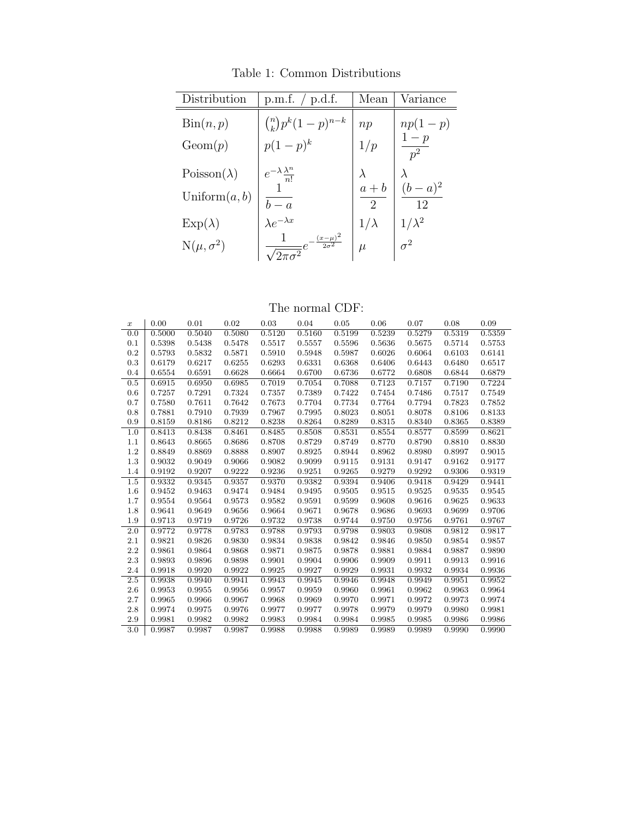Table 1: Common Distributions

| Distribution               | p.m.f. $/$ p.d.f.                                      | Mean                      | Variance                            |
|----------------------------|--------------------------------------------------------|---------------------------|-------------------------------------|
| $\operatorname{Bin}(n, p)$ | $\binom{n}{k} p^k (1-p)^{n-k}$                         | np                        | $np(1-p)$                           |
| Geom(p)                    | $p(1-p)^k$                                             | 1/p                       | $\frac{1-p}{2}$<br>$\overline{p^2}$ |
| $Poisson(\lambda)$         | $e^{-\lambda}\frac{\lambda^n}{n!}$                     |                           |                                     |
| Uniform $(a, b)$           | $b-a$                                                  | $a + b$<br>$\overline{2}$ | $(b-a)^2$<br>12                     |
| $Exp(\lambda)$             | $\lambda e^{-\lambda x}$                               | $1/\lambda$               | $1/\lambda^2$                       |
| $N(\mu, \sigma^2)$         | $\frac{(x-\mu)^2}{2\sigma^2}$<br>$\sqrt{2\pi\sigma^2}$ | $\mu$                     | $\sigma^2$                          |

| The normal CDF: |  |
|-----------------|--|
|-----------------|--|

| $\boldsymbol{x}$ | 0.00   | 0.01   | 0.02   | 0.03   | 0.04   | 0.05   | 0.06   | 0.07   | 0.08   | 0.09   |
|------------------|--------|--------|--------|--------|--------|--------|--------|--------|--------|--------|
| 0.0              | 0.5000 | 0.5040 | 0.5080 | 0.5120 | 0.5160 | 0.5199 | 0.5239 | 0.5279 | 0.5319 | 0.5359 |
| 0.1              | 0.5398 | 0.5438 | 0.5478 | 0.5517 | 0.5557 | 0.5596 | 0.5636 | 0.5675 | 0.5714 | 0.5753 |
| 0.2              | 0.5793 | 0.5832 | 0.5871 | 0.5910 | 0.5948 | 0.5987 | 0.6026 | 0.6064 | 0.6103 | 0.6141 |
| 0.3              | 0.6179 | 0.6217 | 0.6255 | 0.6293 | 0.6331 | 0.6368 | 0.6406 | 0.6443 | 0.6480 | 0.6517 |
| 0.4              | 0.6554 | 0.6591 | 0.6628 | 0.6664 | 0.6700 | 0.6736 | 0.6772 | 0.6808 | 0.6844 | 0.6879 |
| 0.5              | 0.6915 | 0.6950 | 0.6985 | 0.7019 | 0.7054 | 0.7088 | 0.7123 | 0.7157 | 0.7190 | 0.7224 |
| 0.6              | 0.7257 | 0.7291 | 0.7324 | 0.7357 | 0.7389 | 0.7422 | 0.7454 | 0.7486 | 0.7517 | 0.7549 |
| 0.7              | 0.7580 | 0.7611 | 0.7642 | 0.7673 | 0.7704 | 0.7734 | 0.7764 | 0.7794 | 0.7823 | 0.7852 |
| 0.8              | 0.7881 | 0.7910 | 0.7939 | 0.7967 | 0.7995 | 0.8023 | 0.8051 | 0.8078 | 0.8106 | 0.8133 |
| 0.9              | 0.8159 | 0.8186 | 0.8212 | 0.8238 | 0.8264 | 0.8289 | 0.8315 | 0.8340 | 0.8365 | 0.8389 |
| 1.0              | 0.8413 | 0.8438 | 0.8461 | 0.8485 | 0.8508 | 0.8531 | 0.8554 | 0.8577 | 0.8599 | 0.8621 |
| 1.1              | 0.8643 | 0.8665 | 0.8686 | 0.8708 | 0.8729 | 0.8749 | 0.8770 | 0.8790 | 0.8810 | 0.8830 |
| 1.2              | 0.8849 | 0.8869 | 0.8888 | 0.8907 | 0.8925 | 0.8944 | 0.8962 | 0.8980 | 0.8997 | 0.9015 |
| 1.3              | 0.9032 | 0.9049 | 0.9066 | 0.9082 | 0.9099 | 0.9115 | 0.9131 | 0.9147 | 0.9162 | 0.9177 |
| 1.4              | 0.9192 | 0.9207 | 0.9222 | 0.9236 | 0.9251 | 0.9265 | 0.9279 | 0.9292 | 0.9306 | 0.9319 |
| 1.5              | 0.9332 | 0.9345 | 0.9357 | 0.9370 | 0.9382 | 0.9394 | 0.9406 | 0.9418 | 0.9429 | 0.9441 |
| 1.6              | 0.9452 | 0.9463 | 0.9474 | 0.9484 | 0.9495 | 0.9505 | 0.9515 | 0.9525 | 0.9535 | 0.9545 |
| 1.7              | 0.9554 | 0.9564 | 0.9573 | 0.9582 | 0.9591 | 0.9599 | 0.9608 | 0.9616 | 0.9625 | 0.9633 |
| 1.8              | 0.9641 | 0.9649 | 0.9656 | 0.9664 | 0.9671 | 0.9678 | 0.9686 | 0.9693 | 0.9699 | 0.9706 |
| 1.9              | 0.9713 | 0.9719 | 0.9726 | 0.9732 | 0.9738 | 0.9744 | 0.9750 | 0.9756 | 0.9761 | 0.9767 |
| 2.0              | 0.9772 | 0.9778 | 0.9783 | 0.9788 | 0.9793 | 0.9798 | 0.9803 | 0.9808 | 0.9812 | 0.9817 |
| 2.1              | 0.9821 | 0.9826 | 0.9830 | 0.9834 | 0.9838 | 0.9842 | 0.9846 | 0.9850 | 0.9854 | 0.9857 |
| 2.2              | 0.9861 | 0.9864 | 0.9868 | 0.9871 | 0.9875 | 0.9878 | 0.9881 | 0.9884 | 0.9887 | 0.9890 |
| 2.3              | 0.9893 | 0.9896 | 0.9898 | 0.9901 | 0.9904 | 0.9906 | 0.9909 | 0.9911 | 0.9913 | 0.9916 |
| 2.4              | 0.9918 | 0.9920 | 0.9922 | 0.9925 | 0.9927 | 0.9929 | 0.9931 | 0.9932 | 0.9934 | 0.9936 |
| $2.5\,$          | 0.9938 | 0.9940 | 0.9941 | 0.9943 | 0.9945 | 0.9946 | 0.9948 | 0.9949 | 0.9951 | 0.9952 |
| 2.6              | 0.9953 | 0.9955 | 0.9956 | 0.9957 | 0.9959 | 0.9960 | 0.9961 | 0.9962 | 0.9963 | 0.9964 |
| 2.7              | 0.9965 | 0.9966 | 0.9967 | 0.9968 | 0.9969 | 0.9970 | 0.9971 | 0.9972 | 0.9973 | 0.9974 |
| 2.8              | 0.9974 | 0.9975 | 0.9976 | 0.9977 | 0.9977 | 0.9978 | 0.9979 | 0.9979 | 0.9980 | 0.9981 |
| 2.9              | 0.9981 | 0.9982 | 0.9982 | 0.9983 | 0.9984 | 0.9984 | 0.9985 | 0.9985 | 0.9986 | 0.9986 |
| 3.0              | 0.9987 | 0.9987 | 0.9987 | 0.9988 | 0.9988 | 0.9989 | 0.9989 | 0.9989 | 0.9990 | 0.9990 |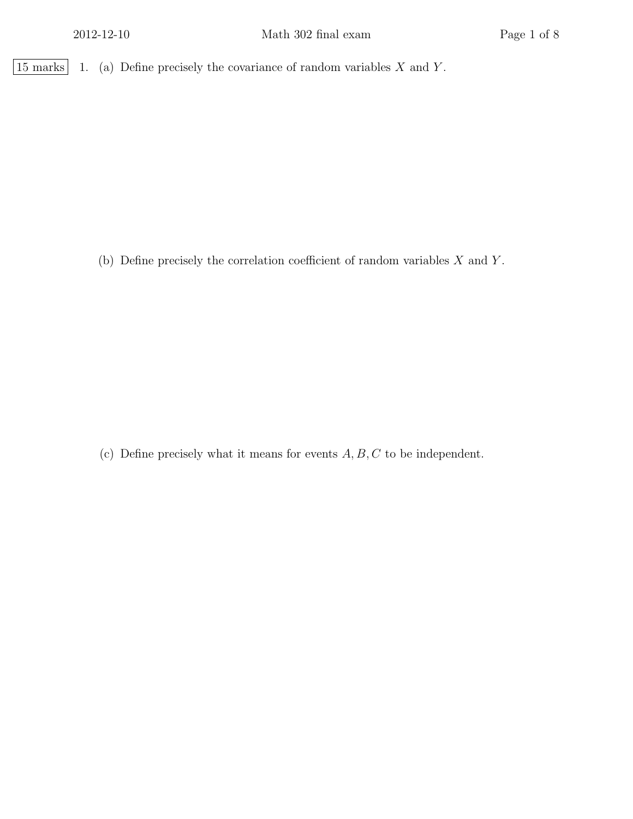|15 marks | 1. (a) Define precisely the covariance of random variables X and Y.

(b) Define precisely the correlation coefficient of random variables  $X$  and  $Y$ .

(c) Define precisely what it means for events  $A, B, C$  to be independent.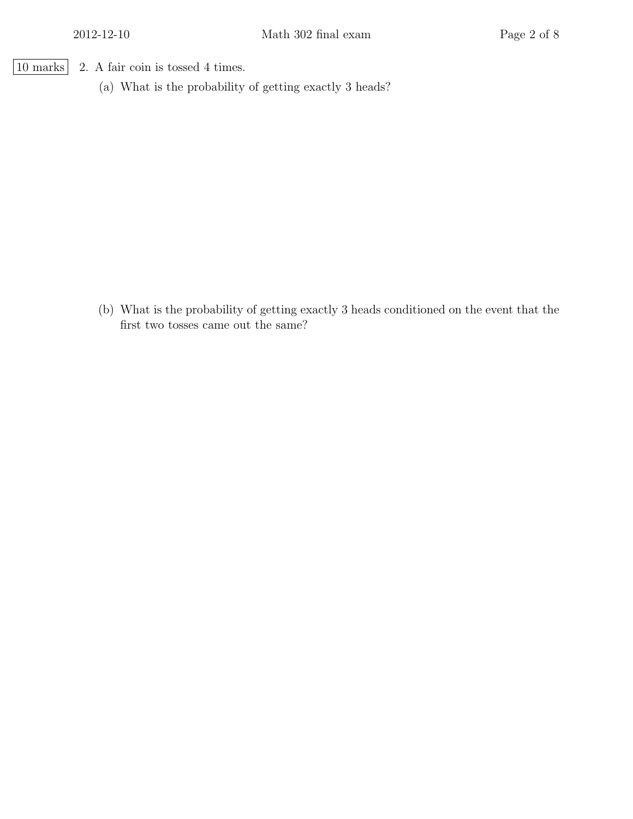- 10 marks 2. A fair coin is tossed 4 times.
	- (a) What is the probability of getting exactly 3 heads?

(b) What is the probability of getting exactly 3 heads conditioned on the event that the first two tosses came out the same?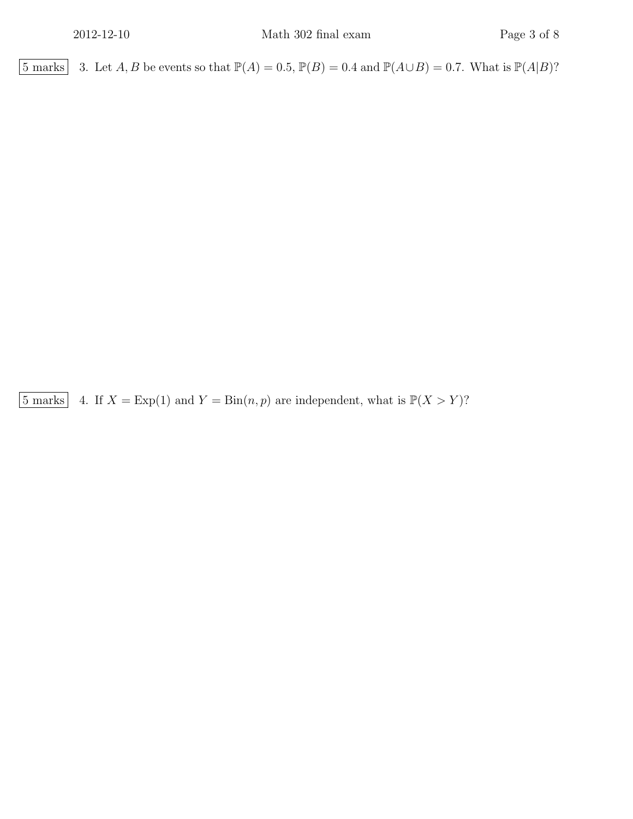5 marks 3. Let A, B be events so that  $\mathbb{P}(A) = 0.5$ ,  $\mathbb{P}(B) = 0.4$  and  $\mathbb{P}(A \cup B) = 0.7$ . What is  $\mathbb{P}(A|B)$ ?

 $\boxed{5 \text{ marks}}$  4. If  $X = \text{Exp}(1)$  and  $Y = \text{Bin}(n, p)$  are independent, what is  $\mathbb{P}(X > Y)$ ?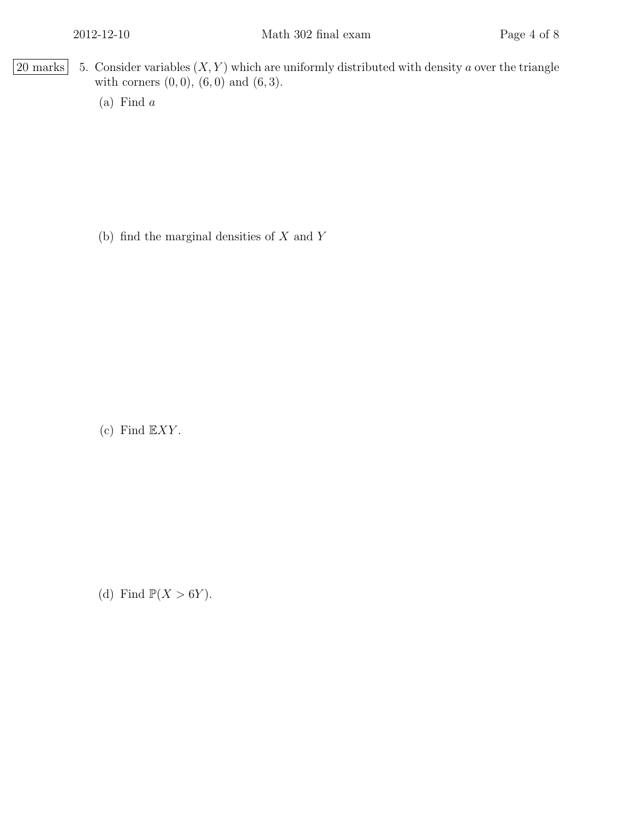- $\boxed{20 \text{ marks}}$  5. Consider variables  $(X, Y)$  which are uniformly distributed with density a over the triangle with corners  $(0, 0)$ ,  $(6, 0)$  and  $(6, 3)$ .
	- (a) Find a

(b) find the marginal densities of  $X$  and  $Y$ 

(c) Find  $\mathbb{E} XY$ .

(d) Find  $\mathbb{P}(X > 6Y)$ .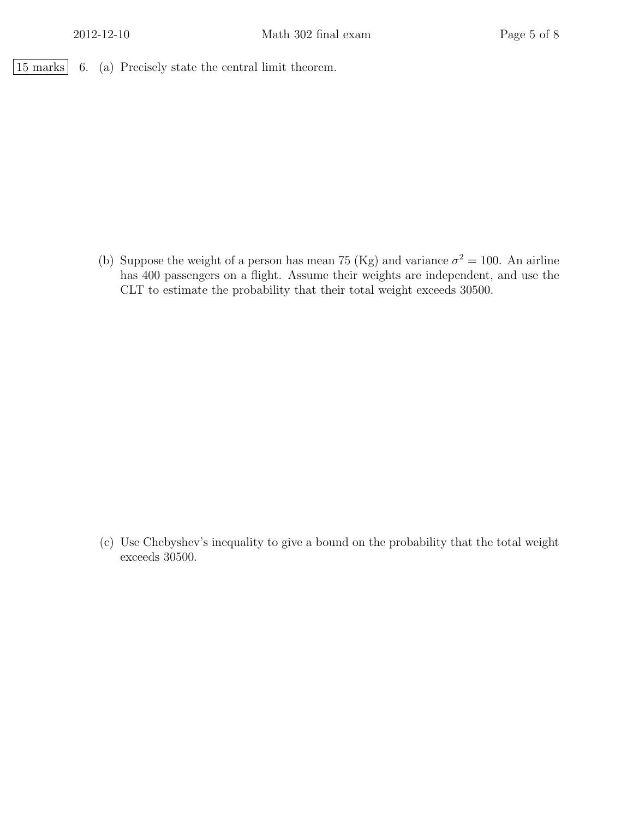$\boxed{15 \text{ marks}}$  6. (a) Precisely state the central limit theorem.

(b) Suppose the weight of a person has mean 75 (Kg) and variance  $\sigma^2 = 100$ . An airline has 400 passengers on a flight. Assume their weights are independent, and use the CLT to estimate the probability that their total weight exceeds 30500.

(c) Use Chebyshev's inequality to give a bound on the probability that the total weight exceeds 30500.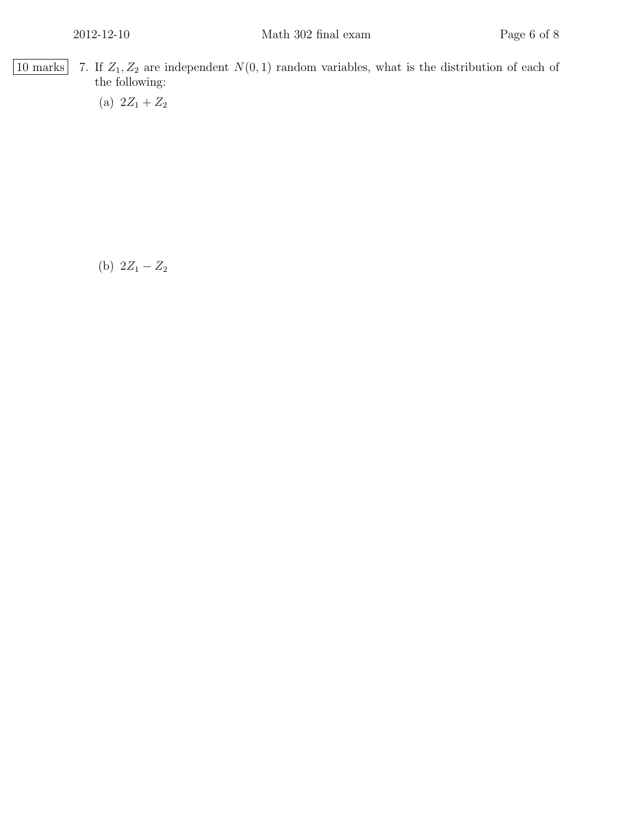$\boxed{10 \text{ marks}}$  7. If  $Z_1, Z_2$  are independent  $N(0, 1)$  random variables, what is the distribution of each of the following:

(a)  $2Z_1 + Z_2$ 

(b)  $2Z_1 - Z_2$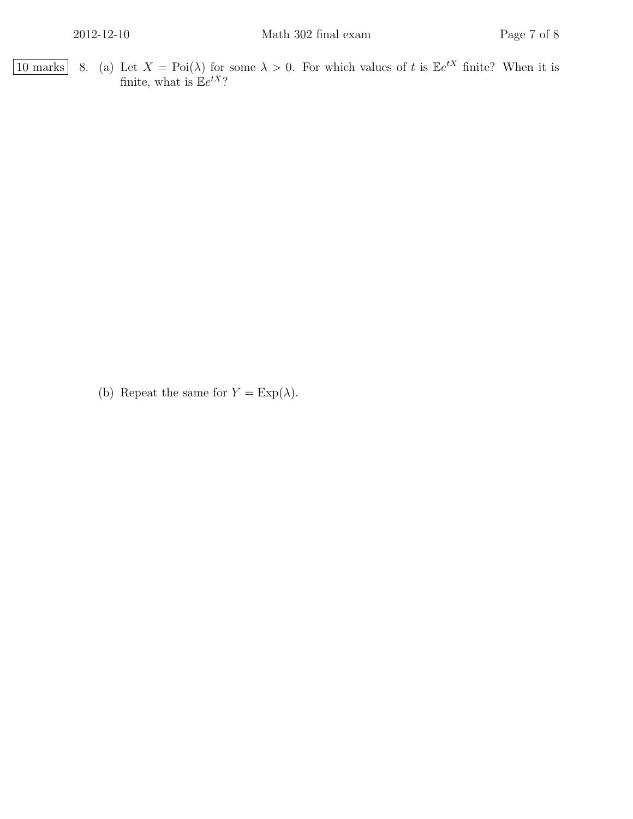10 marks 8. (a) Let  $X = \text{Poi}(\lambda)$  for some  $\lambda > 0$ . For which values of t is  $\mathbb{E}e^{tX}$  finite? When it is finite, what is  $\mathbb{E}e^{tX}$ ?

(b) Repeat the same for  $Y = \text{Exp}(\lambda)$ .